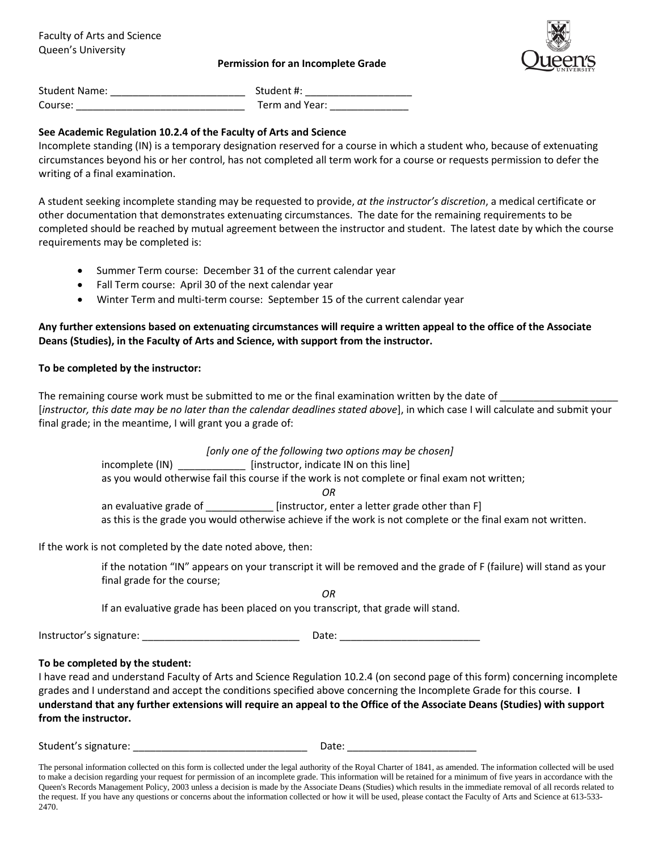#### **Permission for an Incomplete Grade**



| <b>Student Name:</b> | Student #:     |
|----------------------|----------------|
| Course:              | Term and Year: |

# **See Academic Regulation 10.2.4 of the Faculty of Arts and Science**

Incomplete standing (IN) is a temporary designation reserved for a course in which a student who, because of extenuating circumstances beyond his or her control, has not completed all term work for a course or requests permission to defer the writing of a final examination.

A student seeking incomplete standing may be requested to provide, *at the instructor's discretion*, a medical certificate or other documentation that demonstrates extenuating circumstances. The date for the remaining requirements to be completed should be reached by mutual agreement between the instructor and student. The latest date by which the course requirements may be completed is:

- Summer Term course: December 31 of the current calendar year
- Fall Term course: April 30 of the next calendar year
- Winter Term and multi-term course: September 15 of the current calendar year

# **Any further extensions based on extenuating circumstances will require a written appeal to the office of the Associate Deans (Studies), in the Faculty of Arts and Science, with support from the instructor.**

### **To be completed by the instructor:**

The remaining course work must be submitted to me or the final examination written by the date of \_\_\_\_\_\_\_\_\_\_\_\_ [*instructor, this date may be no later than the calendar deadlines stated above*], in which case I will calculate and submit your final grade; in the meantime, I will grant you a grade of:

> *[only one of the following two options may be chosen]* incomplete (IN) \_\_\_\_\_\_\_\_\_\_\_\_\_\_\_\_ [instructor, indicate IN on this line] as you would otherwise fail this course if the work is not complete or final exam not written; *OR* an evaluative grade of \_\_\_\_\_\_\_\_\_\_\_\_\_ [instructor, enter a letter grade other than F] as this is the grade you would otherwise achieve if the work is not complete or the final exam not written.

If the work is not completed by the date noted above, then:

if the notation "IN" appears on your transcript it will be removed and the grade of F (failure) will stand as your final grade for the course;

If an evaluative grade has been placed on you transcript, that grade will stand.

Instructor's signature: \_\_\_\_\_\_\_\_\_\_\_\_\_\_\_\_\_\_\_\_\_\_\_\_\_\_\_\_ Date: \_\_\_\_\_\_\_\_\_\_\_\_\_\_\_\_\_\_\_\_\_\_\_\_\_

### **To be completed by the student:**

I have read and understand Faculty of Arts and Science Regulation 10.2.4 (on second page of this form) concerning incomplete grades and I understand and accept the conditions specified above concerning the Incomplete Grade for this course. **I understand that any further extensions will require an appeal to the Office of the Associate Deans (Studies) with support from the instructor.**

*OR*

Student's signature: \_\_\_\_\_\_\_\_\_\_\_\_\_\_\_\_\_\_\_\_\_\_\_\_\_\_\_\_\_\_\_ Date: \_\_\_\_\_\_\_\_\_\_\_\_\_\_\_\_\_\_\_\_\_\_\_

The personal information collected on this form is collected under the legal authority of the Royal Charter of 1841, as amended. The information collected will be used to make a decision regarding your request for permission of an incomplete grade. This information will be retained for a minimum of five years in accordance with the Queen's Records Management Policy, 2003 unless a decision is made by the Associate Deans (Studies) which results in the immediate removal of all records related to the request. If you have any questions or concerns about the information collected or how it will be used, please contact the Faculty of Arts and Science at 613-533-2470.